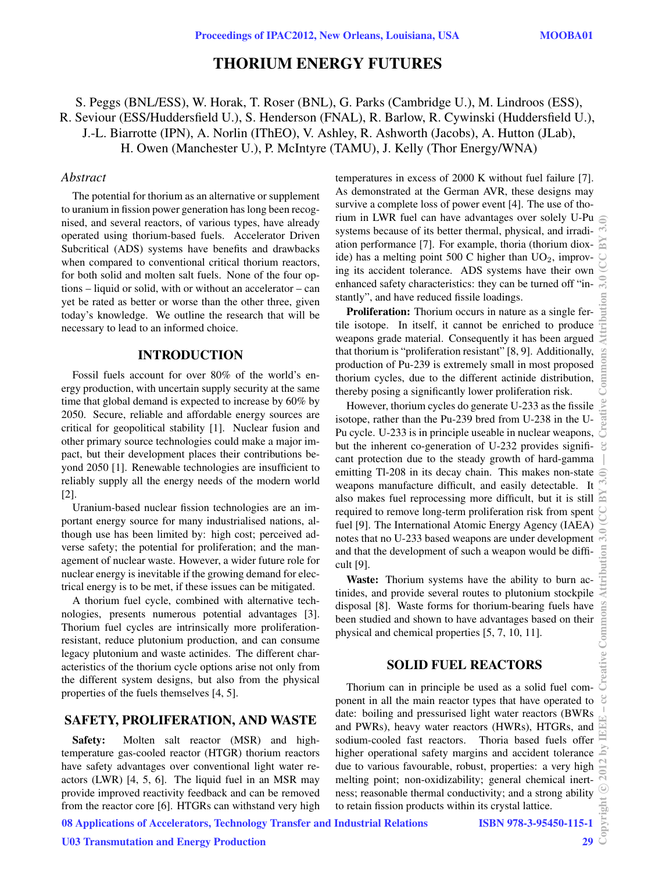# THORIUM ENERGY FUTURES

S. Peggs (BNL/ESS), W. Horak, T. Roser (BNL), G. Parks (Cambridge U.), M. Lindroos (ESS), R. Seviour (ESS/Huddersfield U.), S. Henderson (FNAL), R. Barlow, R. Cywinski (Huddersfield U.), J.-L. Biarrotte (IPN), A. Norlin (IThEO), V. Ashley, R. Ashworth (Jacobs), A. Hutton (JLab), H. Owen (Manchester U.), P. McIntyre (TAMU), J. Kelly (Thor Energy/WNA)

## *Abstract*

The potential for thorium as an alternative or supplement to uranium in fission power generation has long been recognised, and several reactors, of various types, have already operated using thorium-based fuels. Accelerator Driven Subcritical (ADS) systems have benefits and drawbacks when compared to conventional critical thorium reactors, for both solid and molten salt fuels. None of the four options – liquid or solid, with or without an accelerator – can yet be rated as better or worse than the other three, given today's knowledge. We outline the research that will be necessary to lead to an informed choice.

## INTRODUCTION

Fossil fuels account for over 80% of the world's energy production, with uncertain supply security at the same time that global demand is expected to increase by 60% by 2050. Secure, reliable and affordable energy sources are critical for geopolitical stability [1]. Nuclear fusion and other primary source technologies could make a major impact, but their development places their contributions beyond 2050 [1]. Renewable technologies are insufficient to reliably supply all the energy needs of the modern world [2].

Uranium-based nuclear fission technologies are an important energy source for many industrialised nations, although use has been limited by: high cost; perceived adverse safety; the potential for proliferation; and the management of nuclear waste. However, a wider future role for nuclear energy is inevitable if the growing demand for electrical energy is to be met, if these issues can be mitigated.

A thorium fuel cycle, combined with alternative technologies, presents numerous potential advantages [3]. Thorium fuel cycles are intrinsically more proliferationresistant, reduce plutonium production, and can consume legacy plutonium and waste actinides. The different characteristics of the thorium cycle options arise not only from the different system designs, but also from the physical properties of the fuels themselves [4, 5].

#### SAFETY, PROLIFERATION, AND WASTE

Safety: Molten salt reactor (MSR) and hightemperature gas-cooled reactor (HTGR) thorium reactors have safety advantages over conventional light water reactors (LWR) [4, 5, 6]. The liquid fuel in an MSR may provide improved reactivity feedback and can be removed from the reactor core [6]. HTGRs can withstand very high

temperatures in excess of 2000 K without fuel failure [7]. As demonstrated at the German AVR, these designs may survive a complete loss of power event [4]. The use of thorium in LWR fuel can have advantages over solely U-Pu systems because of its better thermal, physical, and irradiation performance [7]. For example, thoria (thorium dioxide) has a melting point 500 C higher than  $UO<sub>2</sub>$ , improving its accident tolerance. ADS systems have their own enhanced safety characteristics: they can be turned off "instantly", and have reduced fissile loadings.

Proliferation: Thorium occurs in nature as a single fertile isotope. In itself, it cannot be enriched to produce weapons grade material. Consequently it has been argued that thorium is "proliferation resistant" [8, 9]. Additionally, production of Pu-239 is extremely small in most proposed thorium cycles, due to the different actinide distribution, thereby posing a significantly lower proliferation risk.

However, thorium cycles do generate U-233 as the fissile isotope, rather than the Pu-239 bred from U-238 in the U-Pu cycle. U-233 is in principle useable in nuclear weapons, but the inherent co-generation of U-232 provides significant protection due to the steady growth of hard-gamma emitting Tl-208 in its decay chain. This makes non-state weapons manufacture difficult, and easily detectable. It also makes fuel reprocessing more difficult, but it is still required to remove long-term proliferation risk from spent fuel [9]. The International Atomic Energy Agency (IAEA) notes that no U-233 based weapons are under development and that the development of such a weapon would be difficult [9].

Waste: Thorium systems have the ability to burn actinides, and provide several routes to plutonium stockpile disposal [8]. Waste forms for thorium-bearing fuels have been studied and shown to have advantages based on their physical and chemical properties [5, 7, 10, 11].

#### SOLID FUEL REACTORS

Thorium can in principle be used as a solid fuel component in all the main reactor types that have operated to date: boiling and pressurised light water reactors (BWRs and PWRs), heavy water reactors (HWRs), HTGRs, and sodium-cooled fast reactors. Thoria based fuels offer higher operational safety margins and accident tolerance due to various favourable, robust, properties: a very high melting point; non-oxidizability; general chemical inertness; reasonable thermal conductivity; and a strong ability to retain fission products within its crystal lattice.

08 Applications of Accelerators, Technology Transfer and Industrial Relations

29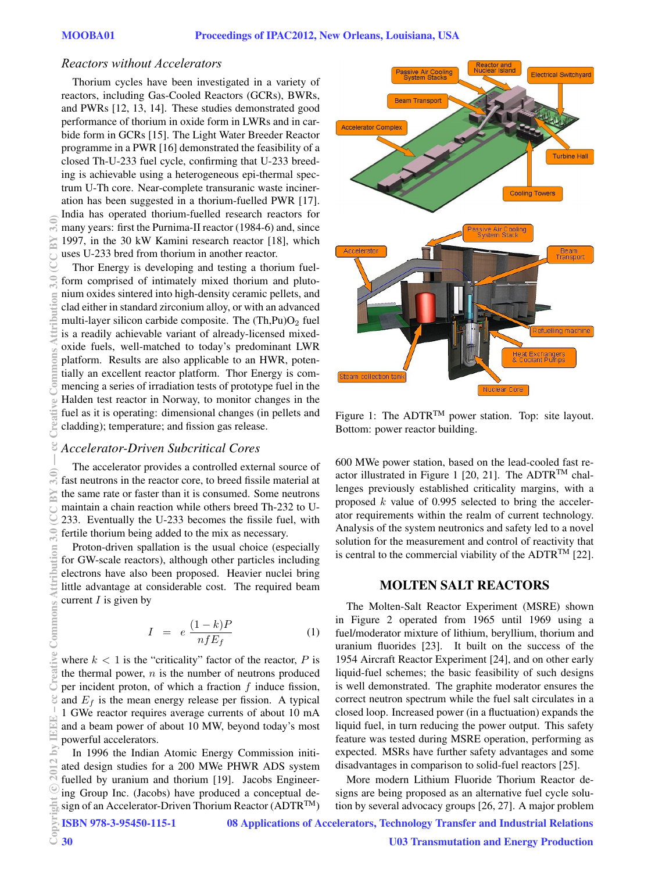## *Reactors without Accelerators*

Thorium cycles have been investigated in a variety of reactors, including Gas-Cooled Reactors (GCRs), BWRs, and PWRs [12, 13, 14]. These studies demonstrated good performance of thorium in oxide form in LWRs and in carbide form in GCRs [15]. The Light Water Breeder Reactor programme in a PWR [16] demonstrated the feasibility of a closed Th-U-233 fuel cycle, confirming that U-233 breeding is achievable using a heterogeneous epi-thermal spectrum U-Th core. Near-complete transuranic waste incineration has been suggested in a thorium-fuelled PWR [17]. India has operated thorium-fuelled research reactors for many years: first the Purnima-II reactor (1984-6) and, since 1997, in the 30 kW Kamini research reactor [18], which uses U-233 bred from thorium in another reactor.

Thor Energy is developing and testing a thorium fuelform comprised of intimately mixed thorium and plutonium oxides sintered into high-density ceramic pellets, and clad either in standard zirconium alloy, or with an advanced multi-layer silicon carbide composite. The  $(Th, Pu)O<sub>2</sub>$  fuel is a readily achievable variant of already-licensed mixedoxide fuels, well-matched to today's predominant LWR platform. Results are also applicable to an HWR, potentially an excellent reactor platform. Thor Energy is commencing a series of irradiation tests of prototype fuel in the Halden test reactor in Norway, to monitor changes in the fuel as it is operating: dimensional changes (in pellets and cladding); temperature; and fission gas release.

## *Accelerator-Driven Subcritical Cores*

The accelerator provides a controlled external source of fast neutrons in the reactor core, to breed fissile material at the same rate or faster than it is consumed. Some neutrons maintain a chain reaction while others breed Th-232 to U-233. Eventually the U-233 becomes the fissile fuel, with fertile thorium being added to the mix as necessary.

Proton-driven spallation is the usual choice (especially for GW-scale reactors), although other particles including electrons have also been proposed. Heavier nuclei bring little advantage at considerable cost. The required beam current  $I$  is given by

$$
I = e \frac{(1-k)P}{n f E_f} \tag{1}
$$

where  $k < 1$  is the "criticality" factor of the reactor,  $P$  is the thermal power,  $n$  is the number of neutrons produced per incident proton, of which a fraction  $f$  induce fission, and  $E_f$  is the mean energy release per fission. A typical 1 GWe reactor requires average currents of about 10 mA and a beam power of about 10 MW, beyond today's most powerful accelerators.

In 1996 the Indian Atomic Energy Commission initiated design studies for a 200 MWe PHWR ADS system fuelled by uranium and thorium [19]. Jacobs Engineering Group Inc. (Jacobs) have produced a conceptual design of an Accelerator-Driven Thorium Reactor (ADTR<sup>TM</sup>)



Figure 1: The ADTR<sup>TM</sup> power station. Top: site layout. Bottom: power reactor building.

600 MWe power station, based on the lead-cooled fast reactor illustrated in Figure 1 [20, 21]. The ADTR<sup>TM</sup> challenges previously established criticality margins, with a proposed  $k$  value of 0.995 selected to bring the accelerator requirements within the realm of current technology. Analysis of the system neutronics and safety led to a novel solution for the measurement and control of reactivity that is central to the commercial viability of the  $ADTR^{TM}$  [22].

#### MOLTEN SALT REACTORS

The Molten-Salt Reactor Experiment (MSRE) shown in Figure 2 operated from 1965 until 1969 using a fuel/moderator mixture of lithium, beryllium, thorium and uranium fluorides [23]. It built on the success of the 1954 Aircraft Reactor Experiment [24], and on other early liquid-fuel schemes; the basic feasibility of such designs is well demonstrated. The graphite moderator ensures the correct neutron spectrum while the fuel salt circulates in a closed loop. Increased power (in a fluctuation) expands the liquid fuel, in turn reducing the power output. This safety feature was tested during MSRE operation, performing as expected. MSRs have further safety advantages and some disadvantages in comparison to solid-fuel reactors [25].

More modern Lithium Fluoride Thorium Reactor designs are being proposed as an alternative fuel cycle solution by several advocacy groups [26, 27]. A major problem

08 Applications of Accelerators, Technology Transfer and Industrial Relations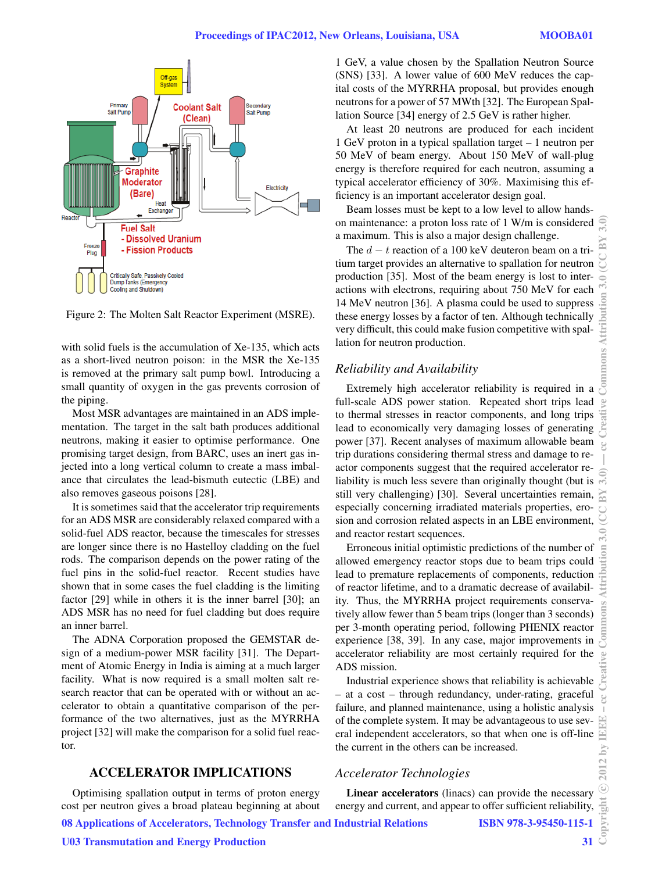

Figure 2: The Molten Salt Reactor Experiment (MSRE).

with solid fuels is the accumulation of Xe-135, which acts as a short-lived neutron poison: in the MSR the Xe-135 is removed at the primary salt pump bowl. Introducing a small quantity of oxygen in the gas prevents corrosion of the piping.

Most MSR advantages are maintained in an ADS implementation. The target in the salt bath produces additional neutrons, making it easier to optimise performance. One promising target design, from BARC, uses an inert gas injected into a long vertical column to create a mass imbalance that circulates the lead-bismuth eutectic (LBE) and also removes gaseous poisons [28].

It is sometimes said that the accelerator trip requirements for an ADS MSR are considerably relaxed compared with a solid-fuel ADS reactor, because the timescales for stresses are longer since there is no Hastelloy cladding on the fuel rods. The comparison depends on the power rating of the fuel pins in the solid-fuel reactor. Recent studies have shown that in some cases the fuel cladding is the limiting factor [29] while in others it is the inner barrel [30]; an ADS MSR has no need for fuel cladding but does require an inner barrel.

The ADNA Corporation proposed the GEMSTAR design of a medium-power MSR facility [31]. The Department of Atomic Energy in India is aiming at a much larger facility. What is now required is a small molten salt research reactor that can be operated with or without an accelerator to obtain a quantitative comparison of the performance of the two alternatives, just as the MYRRHA project [32] will make the comparison for a solid fuel reactor.

## ACCELERATOR IMPLICATIONS

Optimising spallation output in terms of proton energy cost per neutron gives a broad plateau beginning at about

08 Applications of Accelerators, Technology Transfer and Industrial Relations

1 GeV, a value chosen by the Spallation Neutron Source (SNS) [33]. A lower value of 600 MeV reduces the capital costs of the MYRRHA proposal, but provides enough neutrons for a power of 57 MWth [32]. The European Spallation Source [34] energy of 2.5 GeV is rather higher.

At least 20 neutrons are produced for each incident 1 GeV proton in a typical spallation target – 1 neutron per 50 MeV of beam energy. About 150 MeV of wall-plug energy is therefore required for each neutron, assuming a typical accelerator efficiency of 30%. Maximising this efficiency is an important accelerator design goal.

Beam losses must be kept to a low level to allow handson maintenance: a proton loss rate of 1 W/m is considered a maximum. This is also a major design challenge.

The  $d - t$  reaction of a 100 keV deuteron beam on a tritium target provides an alternative to spallation for neutron production [35]. Most of the beam energy is lost to interactions with electrons, requiring about 750 MeV for each 14 MeV neutron [36]. A plasma could be used to suppress these energy losses by a factor of ten. Although technically very difficult, this could make fusion competitive with spallation for neutron production.

## *Reliability and Availability*

Extremely high accelerator reliability is required in a full-scale ADS power station. Repeated short trips lead to thermal stresses in reactor components, and long trips lead to economically very damaging losses of generating power [37]. Recent analyses of maximum allowable beam trip durations considering thermal stress and damage to reactor components suggest that the required accelerator reliability is much less severe than originally thought (but is still very challenging) [30]. Several uncertainties remain, especially concerning irradiated materials properties, erosion and corrosion related aspects in an LBE environment, and reactor restart sequences.

Erroneous initial optimistic predictions of the number of allowed emergency reactor stops due to beam trips could lead to premature replacements of components, reduction of reactor lifetime, and to a dramatic decrease of availability. Thus, the MYRRHA project requirements conservatively allow fewer than 5 beam trips (longer than 3 seconds) per 3-month operating period, following PHENIX reactor experience [38, 39]. In any case, major improvements in accelerator reliability are most certainly required for the ADS mission.

Industrial experience shows that reliability is achievable – at a cost – through redundancy, under-rating, graceful failure, and planned maintenance, using a holistic analysis of the complete system. It may be advantageous to use several independent accelerators, so that when one is off-line the current in the others can be increased.

## *Accelerator Technologies*

Linear accelerators (linacs) can provide the necessary energy and current, and appear to offer sufficient reliability,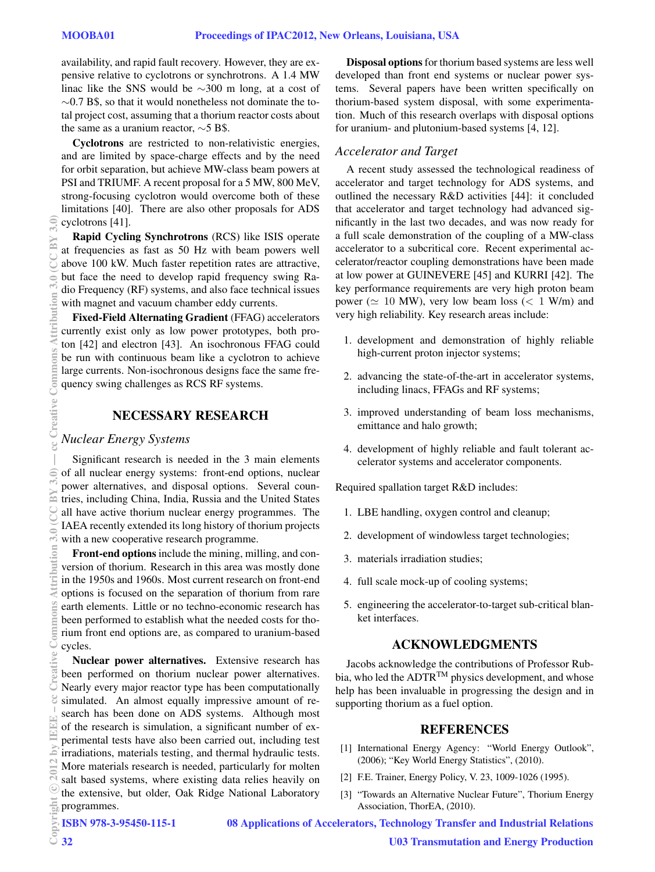availability, and rapid fault recovery. However, they are expensive relative to cyclotrons or synchrotrons. A 1.4 MW linac like the SNS would be ∼300 m long, at a cost of ∼0.7 B\$, so that it would nonetheless not dominate the total project cost, assuming that a thorium reactor costs about the same as a uranium reactor,  $\sim$ 5 B\$.

Cyclotrons are restricted to non-relativistic energies, and are limited by space-charge effects and by the need for orbit separation, but achieve MW-class beam powers at PSI and TRIUMF. A recent proposal for a 5 MW, 800 MeV, strong-focusing cyclotron would overcome both of these limitations [40]. There are also other proposals for ADS cyclotrons [41].

Rapid Cycling Synchrotrons (RCS) like ISIS operate at frequencies as fast as 50 Hz with beam powers well above 100 kW. Much faster repetition rates are attractive, but face the need to develop rapid frequency swing Radio Frequency (RF) systems, and also face technical issues with magnet and vacuum chamber eddy currents.

Fixed-Field Alternating Gradient (FFAG) accelerators currently exist only as low power prototypes, both proton [42] and electron [43]. An isochronous FFAG could be run with continuous beam like a cyclotron to achieve large currents. Non-isochronous designs face the same frequency swing challenges as RCS RF systems.

## NECESSARY RESEARCH

#### *Nuclear Energy Systems*

Significant research is needed in the 3 main elements of all nuclear energy systems: front-end options, nuclear power alternatives, and disposal options. Several countries, including China, India, Russia and the United States all have active thorium nuclear energy programmes. The IAEA recently extended its long history of thorium projects with a new cooperative research programme.

Front-end options include the mining, milling, and conversion of thorium. Research in this area was mostly done in the 1950s and 1960s. Most current research on front-end options is focused on the separation of thorium from rare earth elements. Little or no techno-economic research has been performed to establish what the needed costs for thorium front end options are, as compared to uranium-based cycles.

Nuclear power alternatives. Extensive research has been performed on thorium nuclear power alternatives. Nearly every major reactor type has been computationally simulated. An almost equally impressive amount of research has been done on ADS systems. Although most of the research is simulation, a significant number of experimental tests have also been carried out, including test irradiations, materials testing, and thermal hydraulic tests. More materials research is needed, particularly for molten salt based systems, where existing data relies heavily on the extensive, but older, Oak Ridge National Laboratory programmes.

Disposal options for thorium based systems are less well developed than front end systems or nuclear power systems. Several papers have been written specifically on thorium-based system disposal, with some experimentation. Much of this research overlaps with disposal options for uranium- and plutonium-based systems [4, 12].

## *Accelerator and Target*

A recent study assessed the technological readiness of accelerator and target technology for ADS systems, and outlined the necessary R&D activities [44]: it concluded that accelerator and target technology had advanced significantly in the last two decades, and was now ready for a full scale demonstration of the coupling of a MW-class accelerator to a subcritical core. Recent experimental accelerator/reactor coupling demonstrations have been made at low power at GUINEVERE [45] and KURRI [42]. The key performance requirements are very high proton beam power ( $\simeq$  10 MW), very low beam loss ( $<$  1 W/m) and very high reliability. Key research areas include:

- 1. development and demonstration of highly reliable high-current proton injector systems;
- 2. advancing the state-of-the-art in accelerator systems, including linacs, FFAGs and RF systems;
- 3. improved understanding of beam loss mechanisms, emittance and halo growth;
- 4. development of highly reliable and fault tolerant accelerator systems and accelerator components.

Required spallation target R&D includes:

- 1. LBE handling, oxygen control and cleanup;
- 2. development of windowless target technologies;
- 3. materials irradiation studies;
- 4. full scale mock-up of cooling systems;
- 5. engineering the accelerator-to-target sub-critical blanket interfaces.

## ACKNOWLEDGMENTS

Jacobs acknowledge the contributions of Professor Rubbia, who led the  $ADTR^{TM}$  physics development, and whose help has been invaluable in progressing the design and in supporting thorium as a fuel option.

## **REFERENCES**

- [1] International Energy Agency: "World Energy Outlook", (2006); "Key World Energy Statistics", (2010).
- [2] F.E. Trainer, Energy Policy, V. 23, 1009-1026 (1995).
- [3] "Towards an Alternative Nuclear Future", Thorium Energy Association, ThorEA, (2010).

ISBN 978-3-95450-115-1

08 Applications of Accelerators, Technology Transfer and Industrial Relations